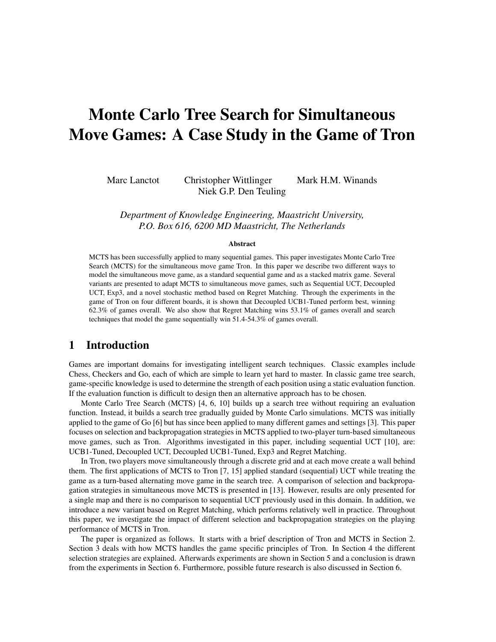# Monte Carlo Tree Search for Simultaneous Move Games: A Case Study in the Game of Tron

Marc Lanctot Christopher Wittlinger Mark H.M. Winands Niek G.P. Den Teuling

*Department of Knowledge Engineering, Maastricht University, P.O. Box 616, 6200 MD Maastricht, The Netherlands*

#### Abstract

MCTS has been successfully applied to many sequential games. This paper investigates Monte Carlo Tree Search (MCTS) for the simultaneous move game Tron. In this paper we describe two different ways to model the simultaneous move game, as a standard sequential game and as a stacked matrix game. Several variants are presented to adapt MCTS to simultaneous move games, such as Sequential UCT, Decoupled UCT, Exp3, and a novel stochastic method based on Regret Matching. Through the experiments in the game of Tron on four different boards, it is shown that Decoupled UCB1-Tuned perform best, winning 62.3% of games overall. We also show that Regret Matching wins 53.1% of games overall and search techniques that model the game sequentially win 51.4-54.3% of games overall.

# 1 Introduction

Games are important domains for investigating intelligent search techniques. Classic examples include Chess, Checkers and Go, each of which are simple to learn yet hard to master. In classic game tree search, game-specific knowledge is used to determine the strength of each position using a static evaluation function. If the evaluation function is difficult to design then an alternative approach has to be chosen.

Monte Carlo Tree Search (MCTS) [4, 6, 10] builds up a search tree without requiring an evaluation function. Instead, it builds a search tree gradually guided by Monte Carlo simulations. MCTS was initially applied to the game of Go [6] but has since been applied to many different games and settings [3]. This paper focuses on selection and backpropagation strategies in MCTS applied to two-player turn-based simultaneous move games, such as Tron. Algorithms investigated in this paper, including sequential UCT [10], are: UCB1-Tuned, Decoupled UCT, Decoupled UCB1-Tuned, Exp3 and Regret Matching.

In Tron, two players move simultaneously through a discrete grid and at each move create a wall behind them. The first applications of MCTS to Tron [7, 15] applied standard (sequential) UCT while treating the game as a turn-based alternating move game in the search tree. A comparison of selection and backpropagation strategies in simultaneous move MCTS is presented in [13]. However, results are only presented for a single map and there is no comparison to sequential UCT previously used in this domain. In addition, we introduce a new variant based on Regret Matching, which performs relatively well in practice. Throughout this paper, we investigate the impact of different selection and backpropagation strategies on the playing performance of MCTS in Tron.

The paper is organized as follows. It starts with a brief description of Tron and MCTS in Section 2. Section 3 deals with how MCTS handles the game specific principles of Tron. In Section 4 the different selection strategies are explained. Afterwards experiments are shown in Section 5 and a conclusion is drawn from the experiments in Section 6. Furthermore, possible future research is also discussed in Section 6.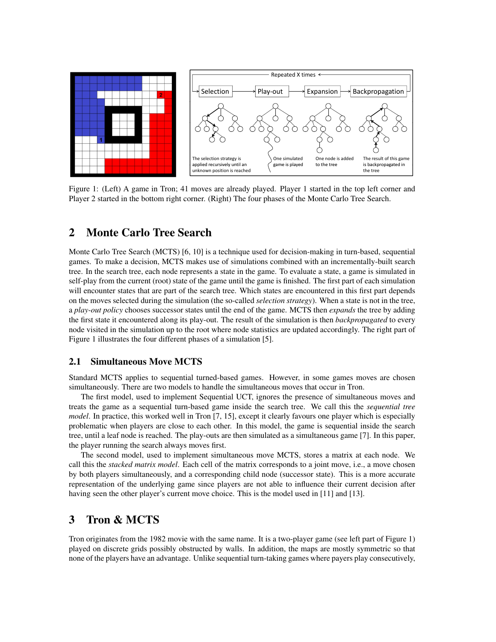

Figure 1: (Left) A game in Tron; 41 moves are already played. Player 1 started in the top left corner and Player 2 started in the bottom right corner. (Right) The four phases of the Monte Carlo Tree Search.

# 2 Monte Carlo Tree Search

Monte Carlo Tree Search (MCTS) [6, 10] is a technique used for decision-making in turn-based, sequential games. To make a decision, MCTS makes use of simulations combined with an incrementally-built search tree. In the search tree, each node represents a state in the game. To evaluate a state, a game is simulated in self-play from the current (root) state of the game until the game is finished. The first part of each simulation will encounter states that are part of the search tree. Which states are encountered in this first part depends on the moves selected during the simulation (the so-called *selection strategy*). When a state is not in the tree, a *play-out policy* chooses successor states until the end of the game. MCTS then *expands* the tree by adding the first state it encountered along its play-out. The result of the simulation is then *backpropagated* to every node visited in the simulation up to the root where node statistics are updated accordingly. The right part of Figure 1 illustrates the four different phases of a simulation [5].

## 2.1 Simultaneous Move MCTS

Standard MCTS applies to sequential turned-based games. However, in some games moves are chosen simultaneously. There are two models to handle the simultaneous moves that occur in Tron.

The first model, used to implement Sequential UCT, ignores the presence of simultaneous moves and treats the game as a sequential turn-based game inside the search tree. We call this the *sequential tree model*. In practice, this worked well in Tron [7, 15], except it clearly favours one player which is especially problematic when players are close to each other. In this model, the game is sequential inside the search tree, until a leaf node is reached. The play-outs are then simulated as a simultaneous game [7]. In this paper, the player running the search always moves first.

The second model, used to implement simultaneous move MCTS, stores a matrix at each node. We call this the *stacked matrix model*. Each cell of the matrix corresponds to a joint move, i.e., a move chosen by both players simultaneously, and a corresponding child node (successor state). This is a more accurate representation of the underlying game since players are not able to influence their current decision after having seen the other player's current move choice. This is the model used in [11] and [13].

# 3 Tron & MCTS

Tron originates from the 1982 movie with the same name. It is a two-player game (see left part of Figure 1) played on discrete grids possibly obstructed by walls. In addition, the maps are mostly symmetric so that none of the players have an advantage. Unlike sequential turn-taking games where payers play consecutively,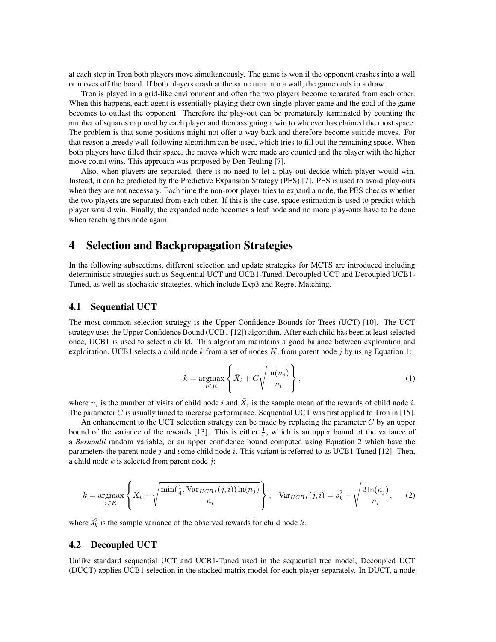at each step in Tron both players move simultaneously. The game is won if the opponent crashes into a wall or moves off the board. If both players crash at the same turn into a wall, the game ends in a draw.

Tron is played in a grid-like environment and often the two players become separated from each other. When this happens, each agent is essentially playing their own single-player game and the goal of the game becomes to outlast the opponent. Therefore the play-out can be prematurely terminated by counting the number of squares captured by each player and then assigning a win to whoever has claimed the most space. The problem is that some positions might not offer a way back and therefore become suicide moves. For that reason a greedy wall-following algorithm can be used, which tries to fill out the remaining space. When both players have filled their space, the moves which were made are counted and the player with the higher move count wins. This approach was proposed by Den Teuling [7].

Also, when players are separated, there is no need to let a play-out decide which player would win. Instead, it can be predicted by the Predictive Expansion Strategy (PES) [7]. PES is used to avoid play-outs when they are not necessary. Each time the non-root player tries to expand a node, the PES checks whether the two players are separated from each other. If this is the case, space estimation is used to predict which player would win. Finally, the expanded node becomes a leaf node and no more play-outs have to be done when reaching this node again.

# 4 Selection and Backpropagation Strategies

In the following subsections, different selection and update strategies for MCTS are introduced including deterministic strategies such as Sequential UCT and UCB1-Tuned, Decoupled UCT and Decoupled UCB1- Tuned, as well as stochastic strategies, which include Exp3 and Regret Matching.

## 4.1 Sequential UCT

The most common selection strategy is the Upper Confidence Bounds for Trees (UCT) [10]. The UCT strategy uses the Upper Confidence Bound (UCB1 [12]) algorithm. After each child has been at least selected once, UCB1 is used to select a child. This algorithm maintains a good balance between exploration and exploitation. UCB1 selects a child node k from a set of nodes K, from parent node j by using Equation 1:

$$
k = \underset{i \in K}{\operatorname{argmax}} \left\{ \bar{X}_i + C \sqrt{\frac{\ln(n_j)}{n_i}} \right\},\tag{1}
$$

where  $n_i$  is the number of visits of child node i and  $\bar{X}_i$  is the sample mean of the rewards of child node i. The parameter C is usually tuned to increase performance. Sequential UCT was first applied to Tron in [15].

An enhancement to the UCT selection strategy can be made by replacing the parameter  $C$  by an upper bound of the variance of the rewards [13]. This is either  $\frac{1}{4}$ , which is an upper bound of the variance of a *Bernoulli* random variable, or an upper confidence bound computed using Equation 2 which have the parameters the parent node j and some child node i. This variant is referred to as UCB1-Tuned [12]. Then, a child node  $k$  is selected from parent node  $j$ :

$$
k = \underset{i \in K}{\text{argmax}} \left\{ \bar{X}_i + \sqrt{\frac{\min(\frac{1}{4}, \text{Var}_{UCB1}(j, i)) \ln(n_j)}{n_i}} \right\}, \quad \text{Var}_{UCB1}(j, i) = \bar{s}_k^2 + \sqrt{\frac{2\ln(n_j)}{n_i}}, \quad (2)
$$

where  $\bar{s}_k^2$  is the sample variance of the observed rewards for child node k.

#### 4.2 Decoupled UCT

Unlike standard sequential UCT and UCB1-Tuned used in the sequential tree model, Decoupled UCT (DUCT) applies UCB1 selection in the stacked matrix model for each player separately. In DUCT, a node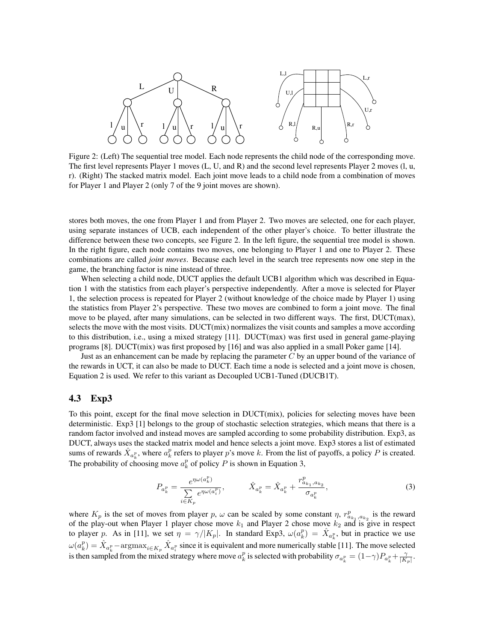

Figure 2: (Left) The sequential tree model. Each node represents the child node of the corresponding move. The first level represents Player 1 moves (L, U, and R) and the second level represents Player 2 moves (l, u, r). (Right) The stacked matrix model. Each joint move leads to a child node from a combination of moves for Player 1 and Player 2 (only 7 of the 9 joint moves are shown).

stores both moves, the one from Player 1 and from Player 2. Two moves are selected, one for each player, using separate instances of UCB, each independent of the other player's choice. To better illustrate the difference between these two concepts, see Figure 2. In the left figure, the sequential tree model is shown. In the right figure, each node contains two moves, one belonging to Player 1 and one to Player 2. These combinations are called *joint moves*. Because each level in the search tree represents now one step in the game, the branching factor is nine instead of three.

When selecting a child node, DUCT applies the default UCB1 algorithm which was described in Equation 1 with the statistics from each player's perspective independently. After a move is selected for Player 1, the selection process is repeated for Player 2 (without knowledge of the choice made by Player 1) using the statistics from Player 2's perspective. These two moves are combined to form a joint move. The final move to be played, after many simulations, can be selected in two different ways. The first, DUCT(max), selects the move with the most visits. DUCT(mix) normalizes the visit counts and samples a move according to this distribution, i.e., using a mixed strategy [11]. DUCT(max) was first used in general game-playing programs [8]. DUCT(mix) was first proposed by [16] and was also applied in a small Poker game [14].

Just as an enhancement can be made by replacing the parameter  $C$  by an upper bound of the variance of the rewards in UCT, it can also be made to DUCT. Each time a node is selected and a joint move is chosen, Equation 2 is used. We refer to this variant as Decoupled UCB1-Tuned (DUCB1T).

## 4.3 Exp3

To this point, except for the final move selection in DUCT(mix), policies for selecting moves have been deterministic. Exp3 [1] belongs to the group of stochastic selection strategies, which means that there is a random factor involved and instead moves are sampled according to some probability distribution. Exp3, as DUCT, always uses the stacked matrix model and hence selects a joint move. Exp3 stores a list of estimated sums of rewards  $\hat{X}_{a_k^p}$ , where  $a_k^p$  refers to player p's move k. From the list of payoffs, a policy P is created. The probability of choosing move  $a_k^p$  of policy P is shown in Equation 3,

$$
P_{a_k^p} = \frac{e^{\eta \omega(a_k^p)}}{\sum\limits_{i \in K_p} e^{\eta \omega(a_i^p)}}, \qquad \hat{X}_{a_k^p} = \hat{X}_{a_k^p} + \frac{r_{a_{k_1}, a_{k_2}}^p}{\sigma_{a_k^p}},
$$
\n(3)

where  $K_p$  is the set of moves from player p,  $\omega$  can be scaled by some constant  $\eta$ ,  $r^p_{a_{k_1},a_{k_2}}$  is the reward of the play-out when Player 1 player chose move  $k_1$  and Player 2 chose move  $k_2$  and is give in respect to player p. As in [11], we set  $\eta = \gamma / |K_p|$ . In standard Exp3,  $\omega(a_k^p) = \hat{X}_{a_k^p}$ , but in practice we use  $\omega(a_k^p) = \hat{X}_{a_k^p} - \text{argmax}_{i \in K_p} \hat{X}_{a_i^p}$  since it is equivalent and more numerically stable [11]. The move selected is then sampled from the mixed strategy where move  $a_k^p$  is selected with probability  $\sigma_{a_k^p} = (1-\gamma)P_{a_k^p} + \frac{\gamma}{|K_p|}$ .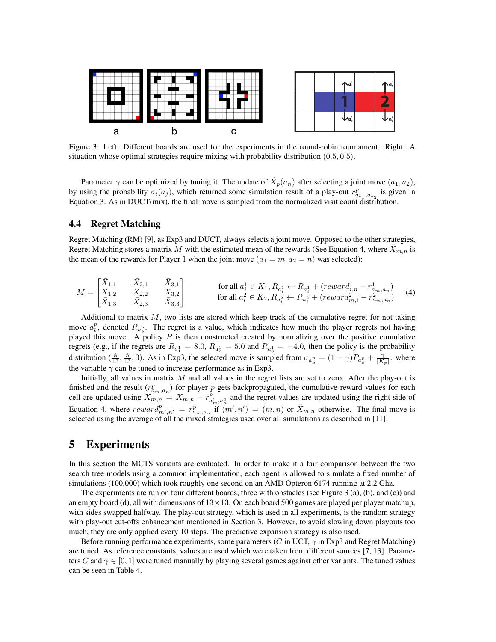

Figure 3: Left: Different boards are used for the experiments in the round-robin tournament. Right: A situation whose optimal strategies require mixing with probability distribution (0.5, 0.5).

Parameter  $\gamma$  can be optimized by tuning it. The update of  $\hat{X}_p(a_n)$  after selecting a joint move  $(a_1, a_2)$ , by using the probability  $\sigma_i(a_j)$ , which returned some simulation result of a play-out  $r^p_{a_{k_1},a_{k_2}}$  is given in Equation 3. As in DUCT(mix), the final move is sampled from the normalized visit count distribution.

## 4.4 Regret Matching

Regret Matching (RM) [9], as Exp3 and DUCT, always selects a joint move. Opposed to the other strategies, Regret Matching stores a matrix M with the estimated mean of the rewards (See Equation 4, where  $\bar{X}_{m,n}$  is the mean of the rewards for Player 1 when the joint move  $(a_1 = m, a_2 = n)$  was selected):

$$
M = \begin{bmatrix} \bar{X}_{1,1} & \bar{X}_{2,1} & \bar{X}_{3,1} \\ \bar{X}_{1,2} & \bar{X}_{2,2} & \bar{X}_{3,2} \\ \bar{X}_{1,3} & \bar{X}_{2,3} & \bar{X}_{3,3} \end{bmatrix}
$$
 for all  $a_i^1 \in K_1, R_{a_i^1} \leftarrow R_{a_i^1} + (reward_{i,n}^1 - r_{a_m,a_n}^1) \quad (4)$ 

Additional to matrix  $M$ , two lists are stored which keep track of the cumulative regret for not taking move  $a_k^p$ , denoted  $R_{a_k^p}$ . The regret is a value, which indicates how much the player regrets not having played this move. A policy P is then constructed created by normalizing over the positive cumulative regrets (e.g., if the regrets are  $R_{a_1^1} = 8.0$ ,  $R_{a_2^1} = 5.0$  and  $R_{a_3^1} = -4.0$ , then the policy is the probability distribution  $(\frac{8}{13}, \frac{5}{13}, 0)$ . As in Exp3, the selected move is sampled from  $\sigma_{a_k^p} = (1 - \gamma)P_{a_k^p} + \frac{\gamma}{|K_p|}$ , where the variable  $\gamma$  can be tuned to increase performance as in Exp3.

Initially, all values in matrix  $M$  and all values in the regret lists are set to zero. After the play-out is finished and the result  $(r_{a_m,a_n}^p)$  for player p gets backpropagated, the cumulative reward values for each cell are updated using  $X_{m,n} = X_{m,n} + r_{a_m^1, a_n^2}^p$  and the regret values are updated using the right side of Equation 4, where  $reward_{m',n'}^p = r_{a_m,a_n}^p$  if  $(m',n') = (m,n)$  or  $\bar{X}_{m,n}$  otherwise. The final move is selected using the average of all the mixed strategies used over all simulations as described in [11].

## 5 Experiments

In this section the MCTS variants are evaluated. In order to make it a fair comparison between the two search tree models using a common implementation, each agent is allowed to simulate a fixed number of simulations (100,000) which took roughly one second on an AMD Opteron 6174 running at 2.2 Ghz.

The experiments are run on four different boards, three with obstacles (see Figure 3 (a), (b), and (c)) and an empty board (d), all with dimensions of  $13 \times 13$ . On each board 500 games are played per player matchup, with sides swapped halfway. The play-out strategy, which is used in all experiments, is the random strategy with play-out cut-offs enhancement mentioned in Section 3. However, to avoid slowing down playouts too much, they are only applied every 10 steps. The predictive expansion strategy is also used.

Before running performance experiments, some parameters (C in UCT,  $\gamma$  in Exp3 and Regret Matching) are tuned. As reference constants, values are used which were taken from different sources [7, 13]. Parameters C and  $\gamma \in [0, 1]$  were tuned manually by playing several games against other variants. The tuned values can be seen in Table 4.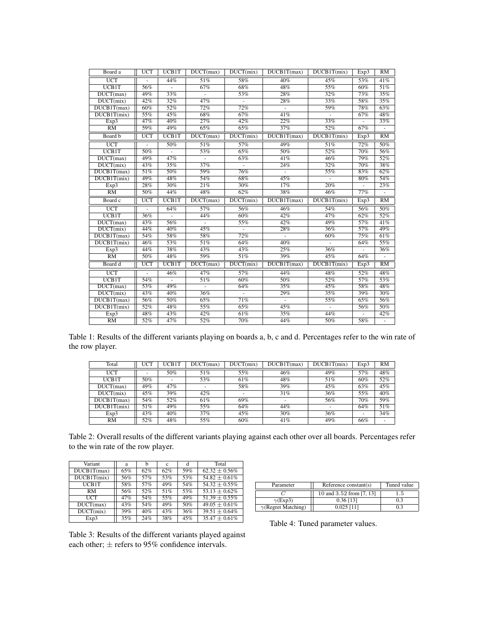| Board a                              | <b>UCT</b> | UCB1T          | DUCT(max)      | DUCT(mix)      | DUCB1T(max)       | DUCB1T(mix) | Exp3              | RM       |
|--------------------------------------|------------|----------------|----------------|----------------|-------------------|-------------|-------------------|----------|
| $\overline{UCT}$                     |            | 44%            | 51%            | 58%            | 40%               | 45%         | 53%               | 41%      |
| <b>UCB1T</b>                         | 56%        |                | 67%            | 68%            | 48%               | 55%         | 60%               | 51%      |
| DUCT(max)                            | 49%        | 33%            |                | 53%            | 28%               | 32%         | 73%               | 35%      |
| DUCT(mix)                            | 42%        | 32%            | 47%            |                | 28%               | 33%         | 58%               | 35%      |
| DUCB1T(max)                          | 60%        | 52%            | 72%            | 72%            | ÷.                | 59%         | 78%               | 63%      |
| DUCB1T(mix)                          | 55%        | 45%            | 68%            | 67%            | 41%               | $\sim$      | 67%               | 48%      |
| Exp3                                 | 47%        | 40%            | 27%            | 42%            | $\overline{22\%}$ | 33%         | ä,                | 33%      |
| $\overline{RM}$                      | 59%        | 49%            | 65%            | 65%            | 37%               | 52%         | 67%               | $\omega$ |
| Board b                              | <b>UCT</b> | <b>UCB1T</b>   | DUCT(max)      | DUCT(mix)      | DUCB1T(max)       | DUCB1T(mix) | Exp3              | RM       |
| $\overline{UCT}$                     |            | 50%            | 51%            | 57%            | 49%               | 51%         | 72%               | 50%      |
| <b>UCB1T</b>                         | 50%        |                | 53%            | 65%            | 50%               | 52%         | 70%               | 56%      |
| $\overline{DUCT}$ (max)              | 49%        | 47%            | ÷,             | 63%            | 41%               | 46%         | 79%               | 52%      |
| DUCT(mix)                            | 43%        | 35%            | 37%            | $\blacksquare$ | 24%               | 32%         | $\overline{70\%}$ | 38%      |
| DUCB1T(max)                          | 51%        | 50%            | 59%            | 76%            | ÷,                | 55%         | 83%               | 62%      |
| DUCB1T(mix)                          | 49%        | 48%            | 54%            | 68%            | 45%               |             | 80%               | 54%      |
| Exp3                                 | 28%        | 30%            | 21%            | 30%            | 17%               | 20%         |                   | 23%      |
| $\overline{RM}$                      | 50%        | 44%            | 48%            | 62%            | 38%               | 46%         | 77%               |          |
|                                      |            |                |                |                |                   |             |                   |          |
| Board c                              | <b>UCT</b> | <b>UCB1T</b>   | DUCT(max)      | DUCT(mix)      | DUCB1T(max)       | DUCB1T(mix) | Exp3              | RM       |
| <b>UCT</b>                           |            | 64%            | 57%            | 56%            | 46%               | 54%         | 56%               | 50%      |
| UCB1T                                | 36%        | $\blacksquare$ | 44%            | 60%            | 42%               | 47%         | 62%               | 52%      |
| DUCT(max)                            | 43%        | 56%            | $\blacksquare$ | 55%            | 42%               | 49%         | 57%               | 41%      |
| DUCT(mix)                            | 44%        | 40%            | 45%            | $\blacksquare$ | 28%               | 36%         | 57%               | 49%      |
| $\overline{\text{DUCB1T(max)}}$      | 54%        | 58%            | 58%            | 72%            | ÷,                | 60%         | 75%               | 61%      |
| DUCB1T(mix)                          | 46%        | 53%            | 51%            | 64%            | 40%               |             | 64%               | 55%      |
| Exp3                                 | 44%        | 38%            | 43%            | 43%            | 25%               | 36%         |                   | 36%      |
| $\overline{RM}$                      | 50%        | 48%            | 59%            | 51%            | 39%               | 45%         | 64%               |          |
| Board d                              | UCT        | <b>UCB1T</b>   | DUCT(max)      | DUCT(mix)      | DUCB1T(max)       | DUCB1T(mix) | Exp3              | RM       |
| $\overline{UCT}$                     |            | 46%            | 47%            | 57%            | 44%               | 48%         | 52%               | 48%      |
| $\overline{UCB1T}$                   | 54%        |                | 51%            | 60%            | 50%               | 52%         | 57%               | 53%      |
| $\overline{\text{DUCT}(\text{max})}$ | 53%        | 49%            |                | 64%            | 35%               | 45%         | 58%               | 48%      |
| $\overline{\text{DUCT}(\text{mix})}$ | 43%        | 40%            | 36%            |                | 29%               | 35%         | 39%               | 30%      |
| DUCB1T(max)                          | 56%        | 50%            | 65%            | 71%            | ÷.                | 55%         | 65%               | 56%      |
| DUCB1T(mix)                          | 52%        | 48%            | 55%            | 65%            | 45%               |             | 56%               | 50%      |
| Exp3<br>RM                           | 48%<br>52% | 43%<br>47%     | 42%<br>52%     | 61%<br>70%     | 35%<br>44%        | 44%<br>50%  | ÷.<br>58%         | 42%      |

Table 1: Results of the different variants playing on boards a, b, c and d. Percentages refer to the win rate of the row player.

| Total       | <b>UCT</b> | UCB1T | DUCT(max) | DUCT(mix)                | DUCB1T(max) | DUCB1T(mix) | Exp3 | RM  |
|-------------|------------|-------|-----------|--------------------------|-------------|-------------|------|-----|
| <b>UCT</b>  |            | 50%   | 51%       | 55%                      | 46%         | 49%         | 57%  | 48% |
| UCB1T       | 50%        | -     | 53%       | 61%                      | 48%         | 51%         | 60%  | 52% |
| DUCT(max)   | 49%        | 47%   | ۰         | 58%                      | 39%         | 45%         | 63%  | 45% |
| DUCT(mix)   | 45%        | 39%   | 42%       | $\overline{\phantom{a}}$ | 31%         | 36%         | 55%  | 40% |
| DUCB1T(max) | 54%        | 52%   | 61%       | 69%                      |             | 56%         | 70%  | 59% |
| DUCB1T(mix) | 51%        | 49%   | 55%       | 64%                      | 44%         |             | 64%  | 51% |
| Exp3        | 43%        | 40%   | 37%       | 45%                      | 30%         | 36%         |      | 34% |
| RM          | 52%        | 48%   | 55%       | 60%                      | 41%         | 49%         | 66%  | ۰   |

Table 2: Overall results of the different variants playing against each other over all boards. Percentages refer to the win rate of the row player.

| Variant     | a   |     | Ċ   |     | Total              |
|-------------|-----|-----|-----|-----|--------------------|
| DUCB1T(max) | 65% | 62% | 62% | 59% | $62.32 + 0.56\%$   |
| DUCB1T(mix) | 56% | 57% | 53% | 53% | $54.82 \pm 0.61\%$ |
| UCB1T       | 58% | 57% | 49% | 54% | $54.32 \pm 0.55\%$ |
| RM          | 56% | 52% | 51% | 53% | $53.13 + 0.62\%$   |
| HCT         | 47% | 54% | 55% | 49% | $51.39 \pm 0.55\%$ |
| DUCT(max)   | 43% | 54% | 49% | 50% | $49.05 \pm 0.61\%$ |
| DUCT(mix)   | 39% | 40% | 43% | 36% | $39.51 \pm 0.64\%$ |
| Exp3        | 35% | 24% | 38% | 45% | $35.47 + 0.61\%$   |

| Parameter                  | Reference $constant(s)$  | Tuned value |  |  |
|----------------------------|--------------------------|-------------|--|--|
|                            | 10 and 3.52 from [7, 13] | 1.5         |  |  |
| $\gamma$ (Exp3)            | $0.36$ [13]              | 0.3         |  |  |
| $\gamma$ (Regret Matching) | $0.025$ [11]             |             |  |  |

Table 3: Results of the different variants played against each other;  $\pm$  refers to 95% confidence intervals.

Table 4: Tuned parameter values.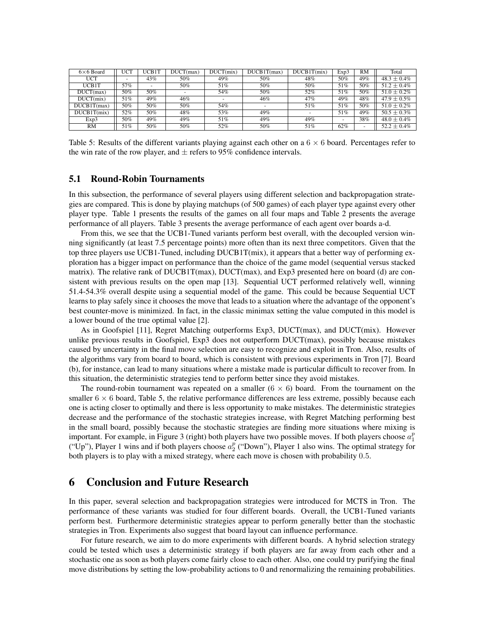| $6\times 6$ Board | JCT | UCB1T | DUCT(max) | DUCT(mix) | DUCB1T(max) | DUCB1T(mix) | Exp3 | RM  | Total            |
|-------------------|-----|-------|-----------|-----------|-------------|-------------|------|-----|------------------|
| UCT               |     | 43%   | 50%       | 49%       | 50%         | 48%         | 50%  | 49% | $48.3 \pm 0.4\%$ |
| UCB1T             | 57% |       | 50%       | 51%       | 50%         | 50%         | 51%  | 50% | $51.2 \pm 0.4\%$ |
| DUCT(max)         | 50% | 50%   |           | 54%       | 50%         | 52%         | 51%  | 50% | $51.0 \pm 0.2\%$ |
| DUCT(mix)         | 51% | 49%   | 46%       |           | 46%         | 47%         | 49%  | 48% | $47.9 \pm 0.5\%$ |
| DUCB1T(max)       | 50% | 50%   | 50%       | 54%       |             | 51%         | 51%  | 50% | $51.0 \pm 0.2\%$ |
| DUCB1T(mix)       | 52% | 50%   | 48%       | 53%       | 49%         |             | 51%  | 49% | $50.5 \pm 0.3\%$ |
| Exp3              | 50% | 49%   | 49%       | 51%       | 49%         | 49%         |      | 38% | $48.0 \pm 0.4\%$ |
| RM                | 51% | 50%   | 50%       | 52%       | 50%         | 51%         | 62%  | ۰   | $52.2 \pm 0.4\%$ |

Table 5: Results of the different variants playing against each other on a  $6 \times 6$  board. Percentages refer to the win rate of the row player, and  $\pm$  refers to 95% confidence intervals.

## 5.1 Round-Robin Tournaments

In this subsection, the performance of several players using different selection and backpropagation strategies are compared. This is done by playing matchups (of 500 games) of each player type against every other player type. Table 1 presents the results of the games on all four maps and Table 2 presents the average performance of all players. Table 3 presents the average performance of each agent over boards a-d.

From this, we see that the UCB1-Tuned variants perform best overall, with the decoupled version winning significantly (at least 7.5 percentage points) more often than its next three competitors. Given that the top three players use UCB1-Tuned, including DUCB1T(mix), it appears that a better way of performing exploration has a bigger impact on performance than the choice of the game model (sequential versus stacked matrix). The relative rank of DUCB1T(max), DUCT(max), and Exp3 presented here on board (d) are consistent with previous results on the open map [13]. Sequential UCT performed relatively well, winning 51.4-54.3% overall despite using a sequential model of the game. This could be because Sequential UCT learns to play safely since it chooses the move that leads to a situation where the advantage of the opponent's best counter-move is minimized. In fact, in the classic minimax setting the value computed in this model is a lower bound of the true optimal value [2].

As in Goofspiel [11], Regret Matching outperforms Exp3, DUCT(max), and DUCT(mix). However unlike previous results in Goofspiel, Exp3 does not outperform DUCT(max), possibly because mistakes caused by uncertainty in the final move selection are easy to recognize and exploit in Tron. Also, results of the algorithms vary from board to board, which is consistent with previous experiments in Tron [7]. Board (b), for instance, can lead to many situations where a mistake made is particular difficult to recover from. In this situation, the deterministic strategies tend to perform better since they avoid mistakes.

The round-robin tournament was repeated on a smaller  $(6 \times 6)$  board. From the tournament on the smaller  $6 \times 6$  board, Table 5, the relative performance differences are less extreme, possibly because each one is acting closer to optimally and there is less opportunity to make mistakes. The deterministic strategies decrease and the performance of the stochastic strategies increase, with Regret Matching performing best in the small board, possibly because the stochastic strategies are finding more situations where mixing is important. For example, in Figure 3 (right) both players have two possible moves. If both players choose  $a_1^p$ ("Up"), Player 1 wins and if both players choose  $a_2^p$  ("Down"), Player 1 also wins. The optimal strategy for both players is to play with a mixed strategy, where each move is chosen with probability 0.5.

## 6 Conclusion and Future Research

In this paper, several selection and backpropagation strategies were introduced for MCTS in Tron. The performance of these variants was studied for four different boards. Overall, the UCB1-Tuned variants perform best. Furthermore deterministic strategies appear to perform generally better than the stochastic strategies in Tron. Experiments also suggest that board layout can influence performance.

For future research, we aim to do more experiments with different boards. A hybrid selection strategy could be tested which uses a deterministic strategy if both players are far away from each other and a stochastic one as soon as both players come fairly close to each other. Also, one could try purifying the final move distributions by setting the low-probability actions to 0 and renormalizing the remaining probabilities.